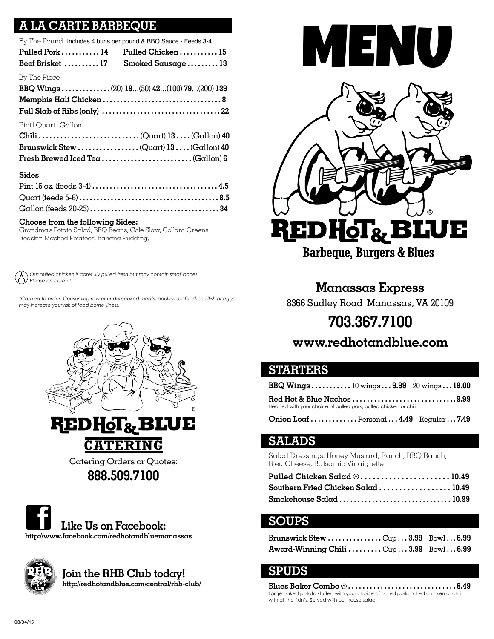# **CARTE BARBEQUE**

| By The Pound Includes 4 buns per pound & BBQ Sauce - Feeds 3-4 |                                           |
|----------------------------------------------------------------|-------------------------------------------|
| Pulled Pork  14                                                | Pulled Chicken15                          |
| Beef Brisket  17                                               | Smoked Sausage13                          |
| By The Piece                                                   |                                           |
|                                                                | BBQ Wings (20) 18(50) 42(100) 79(200) 139 |
|                                                                |                                           |
|                                                                |                                           |
| Pint   Quart   Gallon                                          |                                           |
|                                                                |                                           |
|                                                                |                                           |
|                                                                |                                           |
| <b>Sides</b>                                                   |                                           |
|                                                                |                                           |

#### Gallon (feeds 20-25) **. . . . . . . . . . . . . . . . . . . . . . . . . . . . . . . . . . . . . 34 Choose from the following Sides:**

Grandma's Potato Salad, BBQ Beans, Cole Slaw, Collard Greens Redskin Mashed Potatoes, Banana Pudding,

Quart (feeds 5-6) **. . . . . . . . . . . . . . . . . . . . . . . . . . . . . . . . . . . . . . . . 8.5**

 *Our pulled chicken is carefully pulled fresh but may contain small bones. Please be careful.*

*\*Cooked to order. Consuming raw or undercooked meats, poultry, seafood, shellfish or eggs may increase your risk of food borne illness.*







**Join the RHB Club today! http://redhotandblue.com/central/rhb-club/**



**Manassas Express** 8366 Sudley Road Manassas, VA 20109 **703.367.7100**

# **www.redhotandblue.com**

#### **STARTERS**

| BBQ Wings $10 \text{ wings} \dots 9.99$ 20 wings $\dots 18.00$   |  |
|------------------------------------------------------------------|--|
|                                                                  |  |
| Heaped with your choice of pulled pork, pulled chicken or chili. |  |

**Onion Loaf . . . . . . . . . . . . .** Personal **. . . 4.49** Regular **. . . 7.49**

### **SALADS**

Salad Dressings: Honey Mustard, Ranch, BBQ Ranch, Bleu Cheese, Balsamic Vinaigrette

| Pulled Chicken Salad $\textcircled{\tiny 0}$ 10.49 |  |
|----------------------------------------------------|--|
| Southern Fried Chicken Salad  10.49                |  |
| Smokehouse Salad  10.99                            |  |

### **SOUPS**

| Brunswick Stew Cup3.99 Bowl6.99      |  |
|--------------------------------------|--|
| Award-Winning Chili Cup3.99 Bowl6.99 |  |

### **SPUDS**

**Blues Baker Combo**  $\textcircled{3}$ **..................................8.49** Large baked potato stuffed with your choice of pulled pork, pulled chicken or chili, with all the fixin's. Served with our house salad.